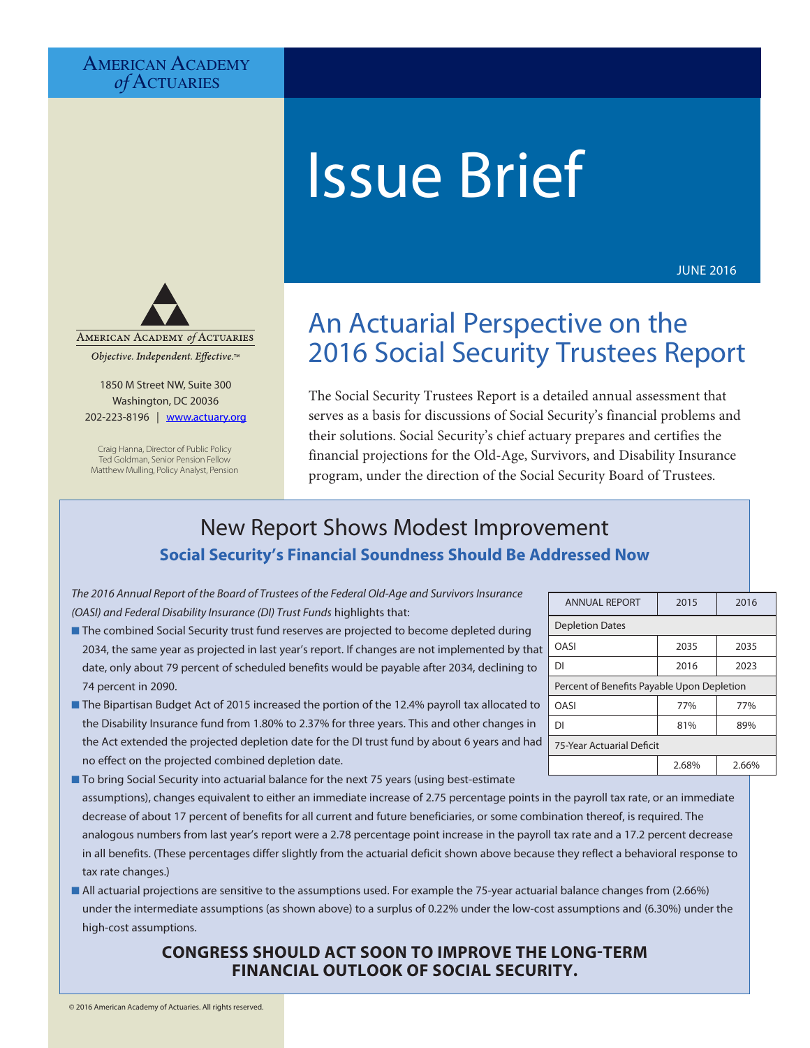## AMERICAN ACADEMY *of* Actuaries



JUNE 2016



Objective. Independent. Effective.™

1850 M Street NW, Suite 300 Washington, DC 20036 202-223-8196 | [www.actuary.org](http://www.actuary.org)

Craig Hanna, Director of Public Policy Ted Goldman, Senior Pension Fellow Matthew Mulling, Policy Analyst, Pension

# An Actuarial Perspective on the 2016 Social Security Trustees Report

The Social Security Trustees Report is a detailed annual assessment that serves as a basis for discussions of Social Security's financial problems and their solutions. Social Security's chief actuary prepares and certifies the financial projections for the Old-Age, Survivors, and Disability Insurance program, under the direction of the Social Security Board of Trustees.

## New Report Shows Modest Improvement **Social Security's Financial Soundness Should Be Addressed Now**

*The 2016 Annual Report of the Board of Trustees of the Federal Old-Age and Survivors Insurance (OASI) and Federal Disability Insurance (DI) Trust Funds* highlights that:

- **n** The combined Social Security trust fund reserves are projected to become depleted during 2034, the same year as projected in last year's report. If changes are not implemented by that date, only about 79 percent of scheduled benefits would be payable after 2034, declining to 74 percent in 2090.
- **n** The Bipartisan Budget Act of 2015 increased the portion of the 12.4% payroll tax allocated to the Disability Insurance fund from 1.80% to 2.37% for three years. This and other changes in the Act extended the projected depletion date for the DI trust fund by about 6 years and had no effect on the projected combined depletion date.
- To bring Social Security into actuarial balance for the next 75 years (using best-estimate assumptions), changes equivalent to either an immediate increase of 2.75 percentage points in the payroll tax rate, or an immediate decrease of about 17 percent of benefits for all current and future beneficiaries, or some combination thereof, is required. The analogous numbers from last year's report were a 2.78 percentage point increase in the payroll tax rate and a 17.2 percent decrease in all benefits. (These percentages differ slightly from the actuarial deficit shown above because they reflect a behavioral response to tax rate changes.)
- All actuarial projections are sensitive to the assumptions used. For example the 75-year actuarial balance changes from (2.66%) under the intermediate assumptions (as shown above) to a surplus of 0.22% under the low-cost assumptions and (6.30%) under the high-cost assumptions.

## **CONGRESS SHOULD ACT SOON TO IMPROVE THE LONG-TERM FINANCIAL OUTLOOK OF SOCIAL SECURITY.**

| <b>ANNUAL REPORT</b>                       | 2015  | 2016  |  |  |  |
|--------------------------------------------|-------|-------|--|--|--|
| <b>Depletion Dates</b>                     |       |       |  |  |  |
| OASI                                       | 2035  | 2035  |  |  |  |
| DΙ                                         | 2016  | 2023  |  |  |  |
| Percent of Benefits Payable Upon Depletion |       |       |  |  |  |
| OASI                                       | 77%   | 77%   |  |  |  |
| DΙ                                         | 81%   | 89%   |  |  |  |
| 75-Year Actuarial Deficit                  |       |       |  |  |  |
|                                            | 2.68% | 2.66% |  |  |  |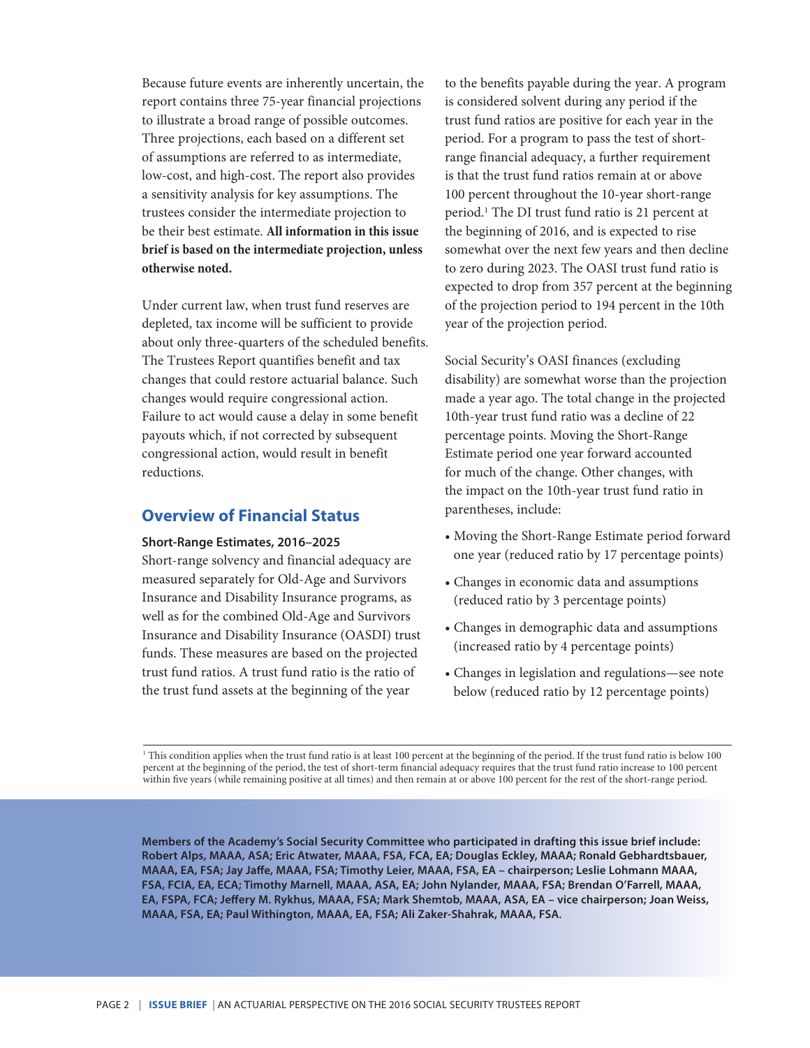Because future events are inherently uncertain, the report contains three 75-year financial projections to illustrate a broad range of possible outcomes. Three projections, each based on a different set of assumptions are referred to as intermediate, low-cost, and high-cost. The report also provides a sensitivity analysis for key assumptions. The trustees consider the intermediate projection to be their best estimate. **All information in this issue brief is based on the intermediate projection, unless otherwise noted.**

Under current law, when trust fund reserves are depleted, tax income will be sufficient to provide about only three-quarters of the scheduled benefits. The Trustees Report quantifies benefit and tax changes that could restore actuarial balance. Such changes would require congressional action. Failure to act would cause a delay in some benefit payouts which, if not corrected by subsequent congressional action, would result in benefit reductions.

## **Overview of Financial Status**

#### **Short-Range Estimates, 2016–2025**

Short-range solvency and financial adequacy are measured separately for Old-Age and Survivors Insurance and Disability Insurance programs, as well as for the combined Old-Age and Survivors Insurance and Disability Insurance (OASDI) trust funds. These measures are based on the projected trust fund ratios. A trust fund ratio is the ratio of the trust fund assets at the beginning of the year

to the benefits payable during the year. A program is considered solvent during any period if the trust fund ratios are positive for each year in the period. For a program to pass the test of shortrange financial adequacy, a further requirement is that the trust fund ratios remain at or above 100 percent throughout the 10-year short-range period.1 The DI trust fund ratio is 21 percent at the beginning of 2016, and is expected to rise somewhat over the next few years and then decline to zero during 2023. The OASI trust fund ratio is expected to drop from 357 percent at the beginning of the projection period to 194 percent in the 10th year of the projection period.

Social Security's OASI finances (excluding disability) are somewhat worse than the projection made a year ago. The total change in the projected 10th-year trust fund ratio was a decline of 22 percentage points. Moving the Short-Range Estimate period one year forward accounted for much of the change. Other changes, with the impact on the 10th-year trust fund ratio in parentheses, include:

- Moving the Short-Range Estimate period forward one year (reduced ratio by 17 percentage points)
- Changes in economic data and assumptions (reduced ratio by 3 percentage points)
- Changes in demographic data and assumptions (increased ratio by 4 percentage points)
- Changes in legislation and regulations—see note below (reduced ratio by 12 percentage points)

1 This condition applies when the trust fund ratio is at least 100 percent at the beginning of the period. If the trust fund ratio is below 100 percent at the beginning of the period, the test of short-term financial adequacy requires that the trust fund ratio increase to 100 percent within five years (while remaining positive at all times) and then remain at or above 100 percent for the rest of the short-range period.

**Members of the Academy's Social Security Committee who participated in drafting this issue brief include: Robert Alps, MAAA, ASA; Eric Atwater, MAAA, FSA, FCA, EA; Douglas Eckley, MAAA; Ronald Gebhardtsbauer, MAAA, EA, FSA; Jay Jaffe, MAAA, FSA; Timothy Leier, MAAA, FSA, EA – chairperson; Leslie Lohmann MAAA, FSA, FCIA, EA, ECA; Timothy Marnell, MAAA, ASA, EA; John Nylander, MAAA, FSA; Brendan O'Farrell, MAAA, EA, FSPA, FCA; Jeffery M. Rykhus, MAAA, FSA; Mark Shemtob, MAAA, ASA, EA – vice chairperson; Joan Weiss, MAAA, FSA, EA; Paul Withington, MAAA, EA, FSA; Ali Zaker-Shahrak, MAAA, FSA.**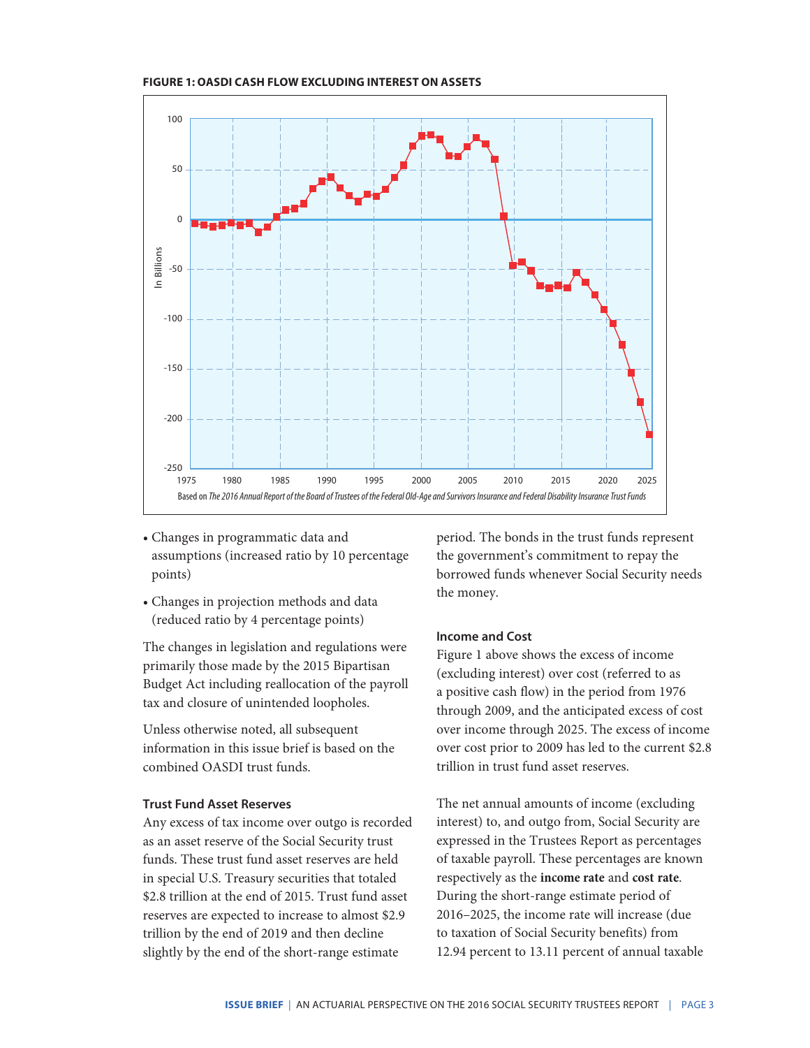



- Changes in programmatic data and assumptions (increased ratio by 10 percentage points)
- Changes in projection methods and data (reduced ratio by 4 percentage points)

The changes in legislation and regulations were primarily those made by the 2015 Bipartisan Budget Act including reallocation of the payroll tax and closure of unintended loopholes.

Unless otherwise noted, all subsequent information in this issue brief is based on the combined OASDI trust funds.

## **Trust Fund Asset Reserves**

Any excess of tax income over outgo is recorded as an asset reserve of the Social Security trust funds. These trust fund asset reserves are held in special U.S. Treasury securities that totaled \$2.8 trillion at the end of 2015. Trust fund asset reserves are expected to increase to almost \$2.9 trillion by the end of 2019 and then decline slightly by the end of the short-range estimate

period. The bonds in the trust funds represent the government's commitment to repay the borrowed funds whenever Social Security needs the money.

### **Income and Cost**

Figure 1 above shows the excess of income (excluding interest) over cost (referred to as a positive cash flow) in the period from 1976 through 2009, and the anticipated excess of cost over income through 2025. The excess of income over cost prior to 2009 has led to the current \$2.8 trillion in trust fund asset reserves.

The net annual amounts of income (excluding interest) to, and outgo from, Social Security are expressed in the Trustees Report as percentages of taxable payroll. These percentages are known respectively as the **income rate** and **cost rate**. During the short-range estimate period of 2016–2025, the income rate will increase (due to taxation of Social Security benefits) from 12.94 percent to 13.11 percent of annual taxable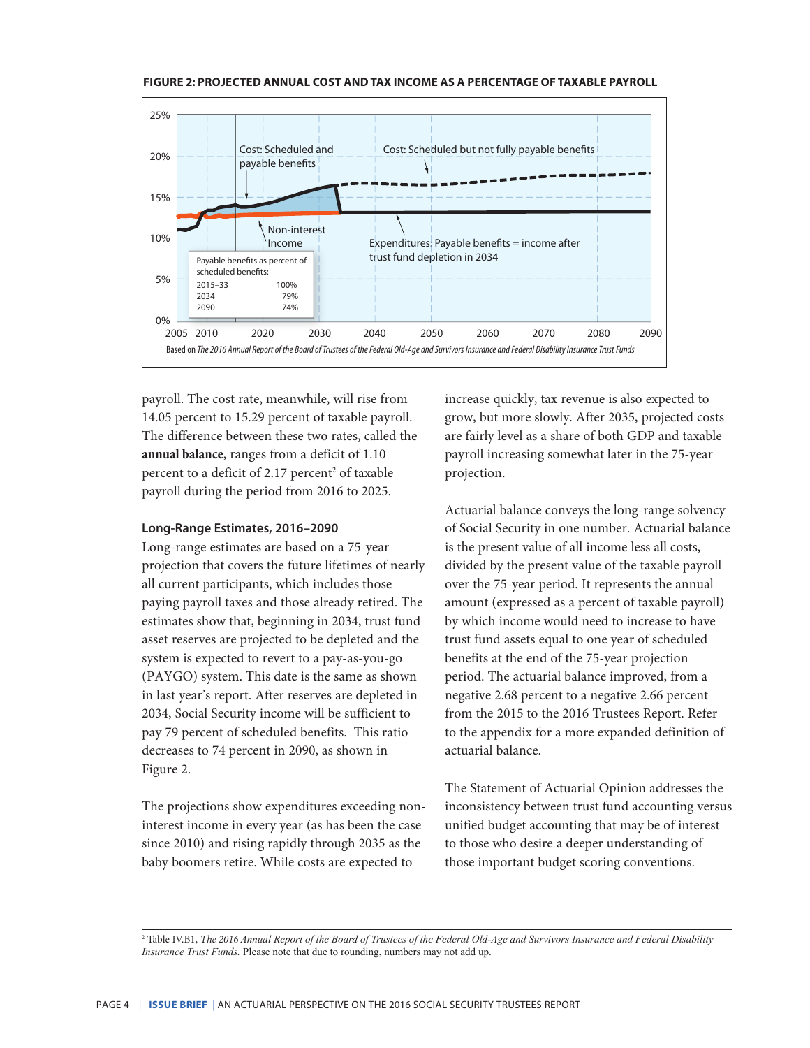



payroll. The cost rate, meanwhile, will rise from 14.05 percent to 15.29 percent of taxable payroll. The difference between these two rates, called the **annual balance**, ranges from a deficit of 1.10 percent to a deficit of 2.17 percent<sup>2</sup> of taxable payroll during the period from 2016 to 2025.

#### **Long-Range Estimates, 2016–2090**

Long-range estimates are based on a 75-year projection that covers the future lifetimes of nearly all current participants, which includes those paying payroll taxes and those already retired. The estimates show that, beginning in 2034, trust fund asset reserves are projected to be depleted and the system is expected to revert to a pay-as-you-go (PAYGO) system. This date is the same as shown in last year's report. After reserves are depleted in 2034, Social Security income will be sufficient to pay 79 percent of scheduled benefits. This ratio decreases to 74 percent in 2090, as shown in Figure 2.

The projections show expenditures exceeding noninterest income in every year (as has been the case since 2010) and rising rapidly through 2035 as the baby boomers retire. While costs are expected to

increase quickly, tax revenue is also expected to grow, but more slowly. After 2035, projected costs are fairly level as a share of both GDP and taxable payroll increasing somewhat later in the 75-year projection.

Actuarial balance conveys the long-range solvency of Social Security in one number. Actuarial balance is the present value of all income less all costs, divided by the present value of the taxable payroll over the 75-year period. It represents the annual amount (expressed as a percent of taxable payroll) by which income would need to increase to have trust fund assets equal to one year of scheduled benefits at the end of the 75-year projection period. The actuarial balance improved, from a negative 2.68 percent to a negative 2.66 percent from the 2015 to the 2016 Trustees Report. Refer to the appendix for a more expanded definition of actuarial balance.

The Statement of Actuarial Opinion addresses the inconsistency between trust fund accounting versus unified budget accounting that may be of interest to those who desire a deeper understanding of those important budget scoring conventions.

2 Table IV.B1, *The 2016 Annual Report of the Board of Trustees of the Federal Old-Age and Survivors Insurance and Federal Disability Insurance Trust Funds.* Please note that due to rounding, numbers may not add up.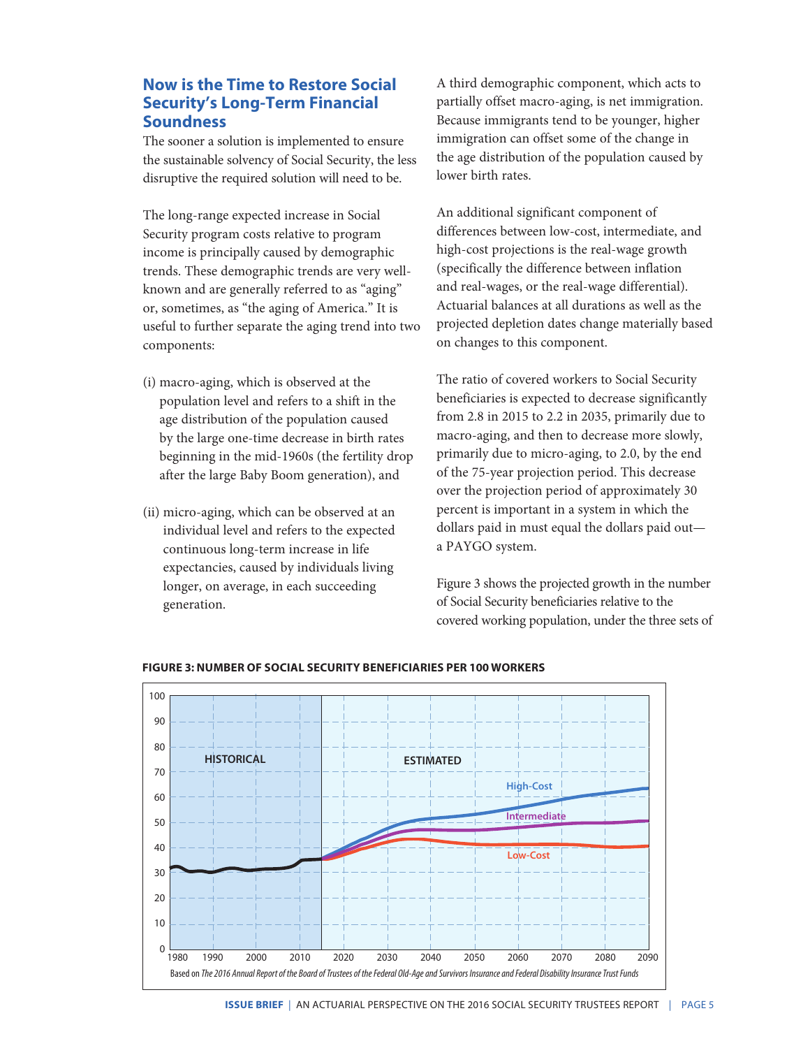## **Now is the Time to Restore Social Security's Long-Term Financial Soundness**

The sooner a solution is implemented to ensure the sustainable solvency of Social Security, the less disruptive the required solution will need to be.

The long-range expected increase in Social Security program costs relative to program income is principally caused by demographic trends. These demographic trends are very wellknown and are generally referred to as "aging" or, sometimes, as "the aging of America." It is useful to further separate the aging trend into two components:

- (i) macro-aging, which is observed at the population level and refers to a shift in the age distribution of the population caused by the large one-time decrease in birth rates beginning in the mid-1960s (the fertility drop after the large Baby Boom generation), and
- (ii) micro-aging, which can be observed at an individual level and refers to the expected continuous long-term increase in life expectancies, caused by individuals living longer, on average, in each succeeding generation.

A third demographic component, which acts to partially offset macro-aging, is net immigration. Because immigrants tend to be younger, higher immigration can offset some of the change in the age distribution of the population caused by lower birth rates.

An additional significant component of differences between low-cost, intermediate, and high-cost projections is the real-wage growth (specifically the difference between inflation and real-wages, or the real-wage differential). Actuarial balances at all durations as well as the projected depletion dates change materially based on changes to this component.

The ratio of covered workers to Social Security beneficiaries is expected to decrease significantly from 2.8 in 2015 to 2.2 in 2035, primarily due to macro-aging, and then to decrease more slowly, primarily due to micro-aging, to 2.0, by the end of the 75-year projection period. This decrease over the projection period of approximately 30 percent is important in a system in which the dollars paid in must equal the dollars paid out a PAYGO system.

Figure 3 shows the projected growth in the number of Social Security beneficiaries relative to the covered working population, under the three sets of



#### **FIGURE 3: NUMBER OF SOCIAL SECURITY BENEFICIARIES PER 100 WORKERS**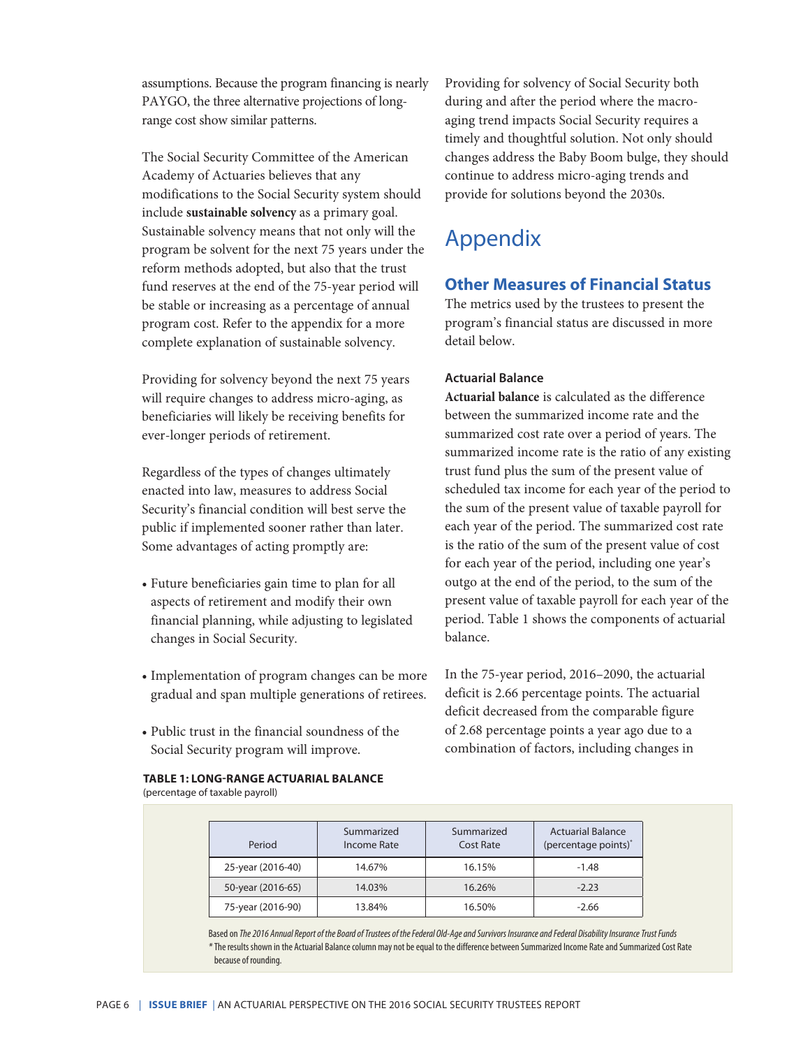assumptions. Because the program financing is nearly PAYGO, the three alternative projections of longrange cost show similar patterns.

The Social Security Committee of the American Academy of Actuaries believes that any modifications to the Social Security system should include **sustainable solvency** as a primary goal. Sustainable solvency means that not only will the program be solvent for the next 75 years under the reform methods adopted, but also that the trust fund reserves at the end of the 75-year period will be stable or increasing as a percentage of annual program cost. Refer to the appendix for a more complete explanation of sustainable solvency.

Providing for solvency beyond the next 75 years will require changes to address micro-aging, as beneficiaries will likely be receiving benefits for ever-longer periods of retirement.

Regardless of the types of changes ultimately enacted into law, measures to address Social Security's financial condition will best serve the public if implemented sooner rather than later. Some advantages of acting promptly are:

- Future beneficiaries gain time to plan for all aspects of retirement and modify their own financial planning, while adjusting to legislated changes in Social Security.
- Implementation of program changes can be more gradual and span multiple generations of retirees.
- Public trust in the financial soundness of the Social Security program will improve.

**TABLE 1: LONG-RANGE ACTUARIAL BALANCE** (percentage of taxable payroll)

Providing for solvency of Social Security both during and after the period where the macroaging trend impacts Social Security requires a timely and thoughtful solution. Not only should changes address the Baby Boom bulge, they should continue to address micro-aging trends and provide for solutions beyond the 2030s.

## Appendix

## **Other Measures of Financial Status**

The metrics used by the trustees to present the program's financial status are discussed in more detail below.

## **Actuarial Balance**

**Actuarial balance** is calculated as the difference between the summarized income rate and the summarized cost rate over a period of years. The summarized income rate is the ratio of any existing trust fund plus the sum of the present value of scheduled tax income for each year of the period to the sum of the present value of taxable payroll for each year of the period. The summarized cost rate is the ratio of the sum of the present value of cost for each year of the period, including one year's outgo at the end of the period, to the sum of the present value of taxable payroll for each year of the period. Table 1 shows the components of actuarial balance.

In the 75-year period, 2016–2090, the actuarial deficit is 2.66 percentage points. The actuarial deficit decreased from the comparable figure of 2.68 percentage points a year ago due to a combination of factors, including changes in

| Period            | Summarized<br>Income Rate | Summarized<br>Cost Rate | <b>Actuarial Balance</b><br>(percentage points) <sup>*</sup> |
|-------------------|---------------------------|-------------------------|--------------------------------------------------------------|
| 25-year (2016-40) | 14.67%                    | 16.15%                  | $-1.48$                                                      |
| 50-year (2016-65) | 14.03%                    | 16.26%                  | $-2.23$                                                      |
| 75-year (2016-90) | 13.84%                    | 16.50%                  | $-2.66$                                                      |

Based on *The 2016 Annual Report of the Board of Trustees of the Federal Old-Age and Survivors Insurance and Federal Disability Insurance Trust Funds* (assets as a percentage of annual cost) *\**The results shown in the Actuarial Balance column may not be equal to the difference between Summarized Income Rate and Summarized Cost Rate because of rounding.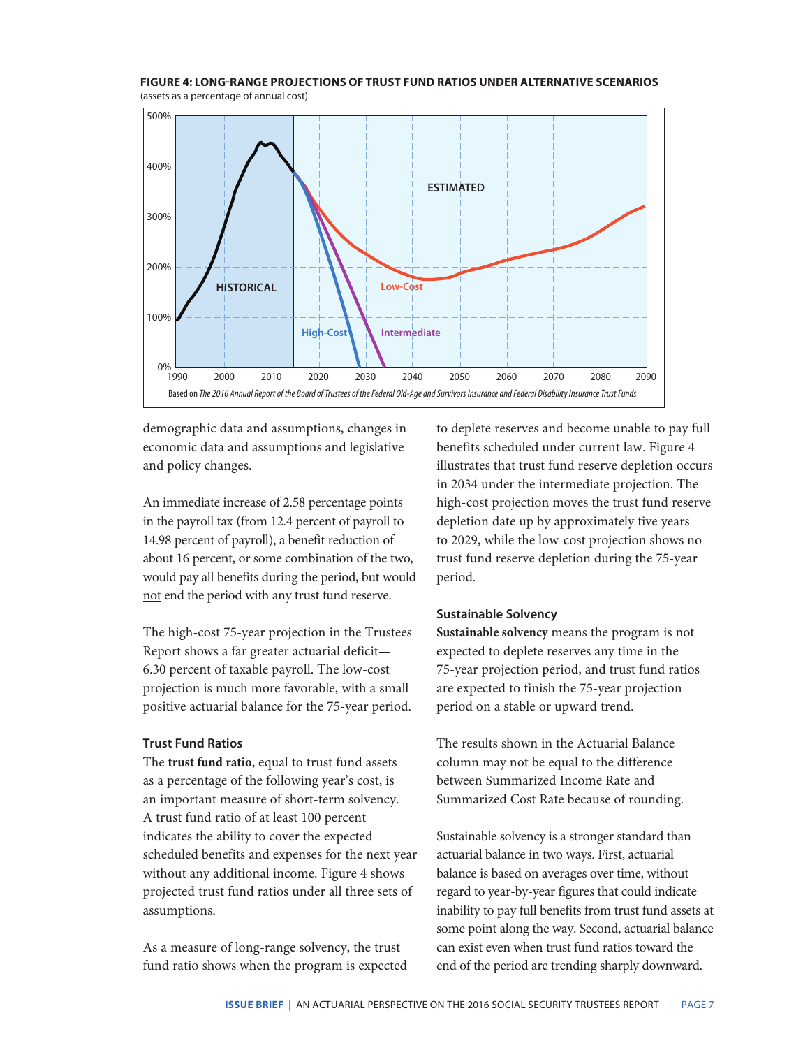

**FIGURE 4: LONG-RANGE PROJECTIONS OF TRUST FUND RATIOS UNDER ALTERNATIVE SCENARIOS** (assets as a percentage of annual cost)

demographic data and assumptions, changes in economic data and assumptions and legislative and policy changes.

An immediate increase of 2.58 percentage points in the payroll tax (from 12.4 percent of payroll to 14.98 percent of payroll), a benefit reduction of about 16 percent, or some combination of the two, would pay all benefits during the period, but would not end the period with any trust fund reserve.

The high-cost 75-year projection in the Trustees Report shows a far greater actuarial deficit— 6.30 percent of taxable payroll. The low-cost projection is much more favorable, with a small positive actuarial balance for the 75-year period.

#### **Trust Fund Ratios**

The **trust fund ratio**, equal to trust fund assets as a percentage of the following year's cost, is an important measure of short-term solvency. A trust fund ratio of at least 100 percent indicates the ability to cover the expected scheduled benefits and expenses for the next year without any additional income. Figure 4 shows projected trust fund ratios under all three sets of assumptions.

As a measure of long-range solvency, the trust fund ratio shows when the program is expected to deplete reserves and become unable to pay full benefits scheduled under current law. Figure 4 illustrates that trust fund reserve depletion occurs in 2034 under the intermediate projection. The high-cost projection moves the trust fund reserve depletion date up by approximately five years to 2029, while the low-cost projection shows no trust fund reserve depletion during the 75-year period.

## **Sustainable Solvency**

**Sustainable solvency** means the program is not expected to deplete reserves any time in the 75-year projection period, and trust fund ratios are expected to finish the 75-year projection period on a stable or upward trend.

The results shown in the Actuarial Balance column may not be equal to the difference between Summarized Income Rate and Summarized Cost Rate because of rounding.

Sustainable solvency is a stronger standard than actuarial balance in two ways. First, actuarial balance is based on averages over time, without regard to year-by-year figures that could indicate inability to pay full benefits from trust fund assets at some point along the way. Second, actuarial balance can exist even when trust fund ratios toward the end of the period are trending sharply downward.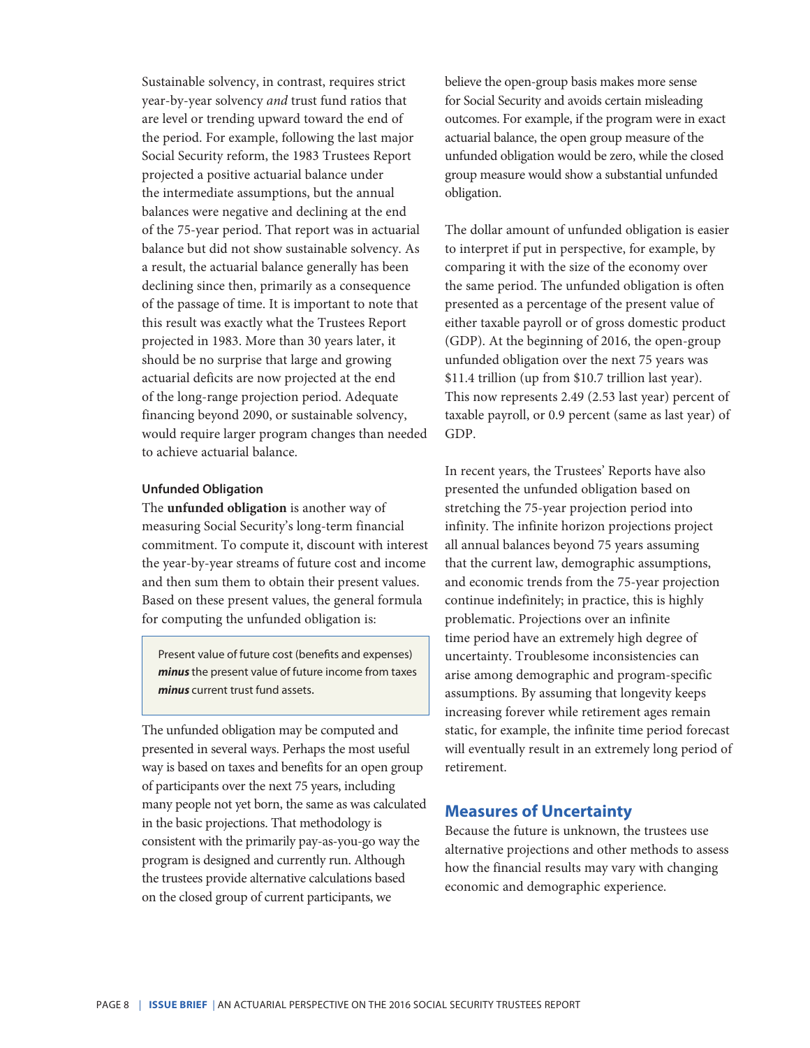Sustainable solvency, in contrast, requires strict year-by-year solvency *and* trust fund ratios that are level or trending upward toward the end of the period. For example, following the last major Social Security reform, the 1983 Trustees Report projected a positive actuarial balance under the intermediate assumptions, but the annual balances were negative and declining at the end of the 75-year period. That report was in actuarial balance but did not show sustainable solvency. As a result, the actuarial balance generally has been declining since then, primarily as a consequence of the passage of time. It is important to note that this result was exactly what the Trustees Report projected in 1983. More than 30 years later, it should be no surprise that large and growing actuarial deficits are now projected at the end of the long-range projection period. Adequate financing beyond 2090, or sustainable solvency, would require larger program changes than needed to achieve actuarial balance.

### **Unfunded Obligation**

The **unfunded obligation** is another way of measuring Social Security's long-term financial commitment. To compute it, discount with interest the year-by-year streams of future cost and income and then sum them to obtain their present values. Based on these present values, the general formula for computing the unfunded obligation is:

Present value of future cost (benefits and expenses) *minus* the present value of future income from taxes *minus* current trust fund assets.

The unfunded obligation may be computed and presented in several ways. Perhaps the most useful way is based on taxes and benefits for an open group of participants over the next 75 years, including many people not yet born, the same as was calculated in the basic projections. That methodology is consistent with the primarily pay-as-you-go way the program is designed and currently run. Although the trustees provide alternative calculations based on the closed group of current participants, we

believe the open-group basis makes more sense for Social Security and avoids certain misleading outcomes. For example, if the program were in exact actuarial balance, the open group measure of the unfunded obligation would be zero, while the closed group measure would show a substantial unfunded obligation.

The dollar amount of unfunded obligation is easier to interpret if put in perspective, for example, by comparing it with the size of the economy over the same period. The unfunded obligation is often presented as a percentage of the present value of either taxable payroll or of gross domestic product (GDP). At the beginning of 2016, the open-group unfunded obligation over the next 75 years was \$11.4 trillion (up from \$10.7 trillion last year). This now represents 2.49 (2.53 last year) percent of taxable payroll, or 0.9 percent (same as last year) of GDP.

In recent years, the Trustees' Reports have also presented the unfunded obligation based on stretching the 75-year projection period into infinity. The infinite horizon projections project all annual balances beyond 75 years assuming that the current law, demographic assumptions, and economic trends from the 75-year projection continue indefinitely; in practice, this is highly problematic. Projections over an infinite time period have an extremely high degree of uncertainty. Troublesome inconsistencies can arise among demographic and program-specific assumptions. By assuming that longevity keeps increasing forever while retirement ages remain static, for example, the infinite time period forecast will eventually result in an extremely long period of retirement.

## **Measures of Uncertainty**

Because the future is unknown, the trustees use alternative projections and other methods to assess how the financial results may vary with changing economic and demographic experience.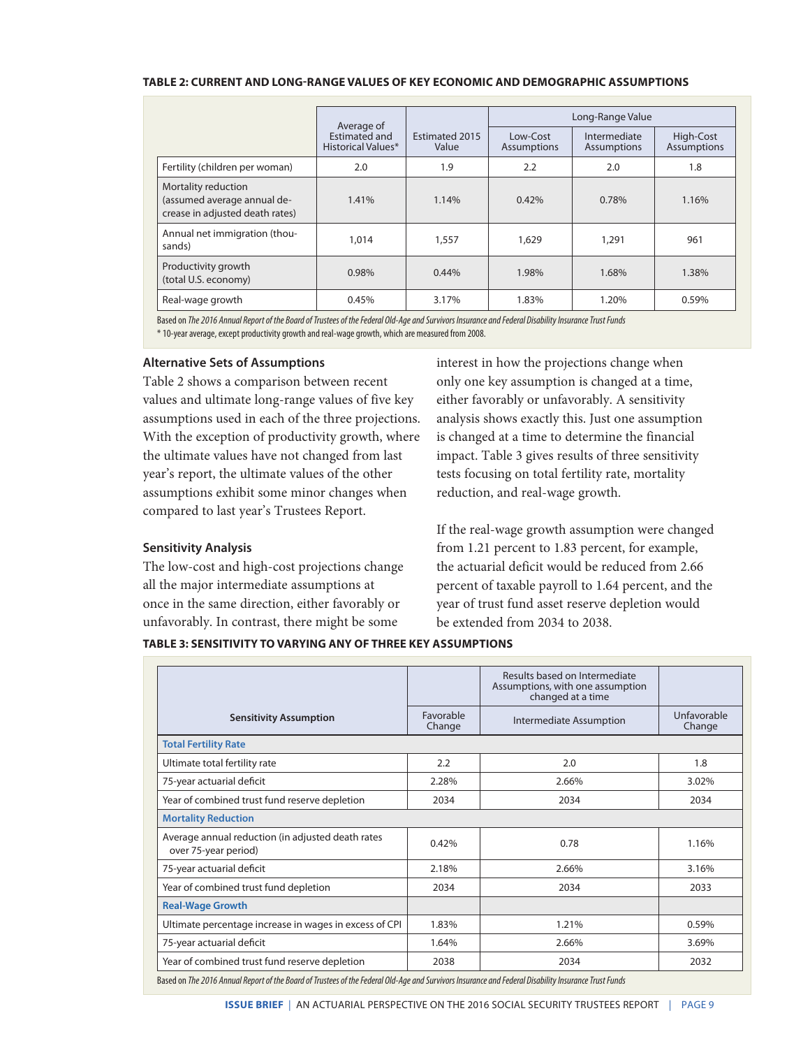#### **TABLE 2: CURRENT AND LONG-RANGE VALUES OF KEY ECONOMIC AND DEMOGRAPHIC ASSUMPTIONS**

|                                                                                       |                                            | Average of<br><b>Fstimated 2015</b><br>Value | Long-Range Value               |                                    |                                 |
|---------------------------------------------------------------------------------------|--------------------------------------------|----------------------------------------------|--------------------------------|------------------------------------|---------------------------------|
|                                                                                       | <b>Estimated and</b><br>Historical Values* |                                              | Low-Cost<br><b>Assumptions</b> | Intermediate<br><b>Assumptions</b> | High-Cost<br><b>Assumptions</b> |
| Fertility (children per woman)                                                        | 2.0                                        | 1.9                                          | 2.2                            | 2.0                                | 1.8                             |
| Mortality reduction<br>(assumed average annual de-<br>crease in adjusted death rates) | 1.41%                                      | 1.14%                                        | 0.42%                          | 0.78%                              | 1.16%                           |
| Annual net immigration (thou-<br>sands)                                               | 1,014                                      | 1,557                                        | 1,629                          | 1,291                              | 961                             |
| Productivity growth<br>(total U.S. economy)                                           | 0.98%                                      | 0.44%                                        | 1.98%                          | 1.68%                              | 1.38%                           |
| Real-wage growth                                                                      | 0.45%                                      | 3.17%                                        | 1.83%                          | 1.20%                              | 0.59%                           |

Based on *The2016 Annual Report of the Board of Trustees of the Federal Old-Age and Survivors Insurance and Federal Disability Insurance Trust Funds* \* 10-year average, except productivity growth and real-wage growth, which are measured from 2008.

**Alternative Sets of Assumptions**

Table 2 shows a comparison between recent values and ultimate long-range values of five key assumptions used in each of the three projections. With the exception of productivity growth, where the ultimate values have not changed from last year's report, the ultimate values of the other assumptions exhibit some minor changes when compared to last year's Trustees Report.

## **Sensitivity Analysis**

The low-cost and high-cost projections change all the major intermediate assumptions at once in the same direction, either favorably or unfavorably. In contrast, there might be some

interest in how the projections change when only one key assumption is changed at a time, either favorably or unfavorably. A sensitivity analysis shows exactly this. Just one assumption is changed at a time to determine the financial impact. Table 3 gives results of three sensitivity tests focusing on total fertility rate, mortality reduction, and real-wage growth.

If the real-wage growth assumption were changed from 1.21 percent to 1.83 percent, for example, the actuarial deficit would be reduced from 2.66 percent of taxable payroll to 1.64 percent, and the year of trust fund asset reserve depletion would be extended from 2034 to 2038.

## **TABLE 3: SENSITIVITY TO VARYING ANY OF THREE KEY ASSUMPTIONS**

|                                                                           |                     | Results based on Intermediate<br>Assumptions, with one assumption<br>changed at a time |                       |
|---------------------------------------------------------------------------|---------------------|----------------------------------------------------------------------------------------|-----------------------|
| <b>Sensitivity Assumption</b>                                             | Favorable<br>Change | Intermediate Assumption                                                                | Unfavorable<br>Change |
| <b>Total Fertility Rate</b>                                               |                     |                                                                                        |                       |
| Ultimate total fertility rate                                             | 2.2                 | 2.0                                                                                    | 1.8                   |
| 75-year actuarial deficit                                                 | 2.28%               | 2.66%                                                                                  | 3.02%                 |
| Year of combined trust fund reserve depletion                             | 2034                | 2034                                                                                   | 2034                  |
| <b>Mortality Reduction</b>                                                |                     |                                                                                        |                       |
| Average annual reduction (in adjusted death rates<br>over 75-year period) | 0.42%               | 0.78                                                                                   | 1.16%                 |
| 75-year actuarial deficit                                                 | 2.18%               | 2.66%                                                                                  | 3.16%                 |
| Year of combined trust fund depletion                                     | 2034                | 2034                                                                                   | 2033                  |
| <b>Real-Wage Growth</b>                                                   |                     |                                                                                        |                       |
| Ultimate percentage increase in wages in excess of CPI                    | 1.83%               | 1.21%                                                                                  | 0.59%                 |
| 75-year actuarial deficit                                                 | 1.64%               | 2.66%                                                                                  | 3.69%                 |
| Year of combined trust fund reserve depletion                             | 2038                | 2034                                                                                   | 2032                  |

Based on *The2016 Annual Report of the Board of Trustees of the Federal Old-Age and Survivors Insurance and Federal Disability Insurance Trust Funds*